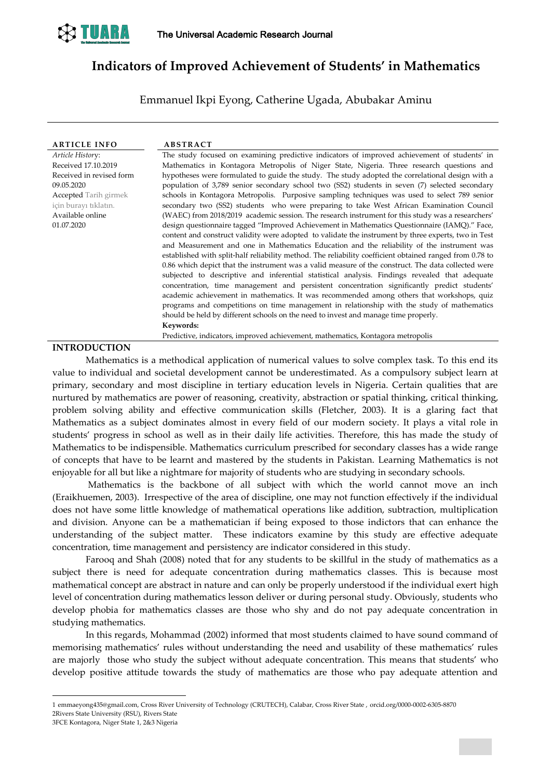

# **Indicators of Improved Achievement of Students' in Mathematics**

Emmanuel Ikpi Eyong, Catherine Ugada, Abubakar Aminu

| <b>ARTICLE INFO</b>          | <b>ABSTRACT</b> |
|------------------------------|-----------------|
| Article History:             | The study focu  |
| Received 17.10.2019          | Mathematics in  |
| Received in revised form     | hypotheses wer  |
| 09.05.2020                   | population of   |
| <b>Accepted</b> Tarih girmek | schools in Kon  |
| için burayı tıklatın.        | secondary two   |
| Available online             | (WAEC) from 2   |
| 01.07.2020                   | design question |

The study focused on examining predictive indicators of improved achievement of students' in Mathematics in Kontagora Metropolis of Niger State, Nigeria. Three research questions and hypotheses were formulated to guide the study. The study adopted the correlational design with a population of 3,789 senior secondary school two (SS2) students in seven (7) selected secondary schools in Kontagora Metropolis. Purposive sampling techniques was used to select 789 senior secondary two (SS2) students who were preparing to take West African Examination Council (WAEC) from 2018/2019 academic session. The research instrument for this study was a researchers' design questionnaire tagged "Improved Achievement in Mathematics Questionnaire (IAMQ)." Face, content and construct validity were adopted to validate the instrument by three experts, two in Test and Measurement and one in Mathematics Education and the reliability of the instrument was established with split-half reliability method. The reliability coefficient obtained ranged from 0.78 to 0.86 which depict that the instrument was a valid measure of the construct. The data collected were subjected to descriptive and inferential statistical analysis. Findings revealed that adequate concentration, time management and persistent concentration significantly predict students' academic achievement in mathematics. It was recommended among others that workshops, quiz programs and competitions on time management in relationship with the study of mathematics should be held by different schools on the need to invest and manage time properly. **Keywords:<sup>1</sup>**

Predictive, indicators, improved achievement, mathematics, Kontagora metropolis

## **INTRODUCTION**

Mathematics is a methodical application of numerical values to solve complex task. To this end its value to individual and societal development cannot be underestimated. As a compulsory subject learn at primary, secondary and most discipline in tertiary education levels in Nigeria. Certain qualities that are nurtured by mathematics are power of reasoning, creativity, abstraction or spatial thinking, critical thinking, problem solving ability and effective communication skills (Fletcher, 2003). It is a glaring fact that Mathematics as a subject dominates almost in every field of our modern society. It plays a vital role in students' progress in school as well as in their daily life activities. Therefore, this has made the study of Mathematics to be indispensible. Mathematics curriculum prescribed for secondary classes has a wide range of concepts that have to be learnt and mastered by the students in Pakistan. Learning Mathematics is not enjoyable for all but like a nightmare for majority of students who are studying in secondary schools.

Mathematics is the backbone of all subject with which the world cannot move an inch (Eraikhuemen, 2003). Irrespective of the area of discipline, one may not function effectively if the individual does not have some little knowledge of mathematical operations like addition, subtraction, multiplication and division. Anyone can be a mathematician if being exposed to those indictors that can enhance the understanding of the subject matter. These indicators examine by this study are effective adequate concentration, time management and persistency are indicator considered in this study.

Farooq and Shah (2008) noted that for any students to be skillful in the study of mathematics as a subject there is need for adequate concentration during mathematics classes. This is because most mathematical concept are abstract in nature and can only be properly understood if the individual exert high level of concentration during mathematics lesson deliver or during personal study. Obviously, students who develop phobia for mathematics classes are those who shy and do not pay adequate concentration in studying mathematics.

In this regards, Mohammad (2002) informed that most students claimed to have sound command of memorising mathematics' rules without understanding the need and usability of these mathematics' rules are majorly those who study the subject without adequate concentration. This means that students' who develop positive attitude towards the study of mathematics are those who pay adequate attention and

-

<sup>1</sup> emmaeyong435@gmail.com, Cross River University of Technology (CRUTECH), Calabar, Cross River State , orcid.org/0000-0002-6305-8870 2Rivers State University (RSU), Rivers State

<sup>3</sup>FCE Kontagora, Niger State 1, 2&3 Nigeria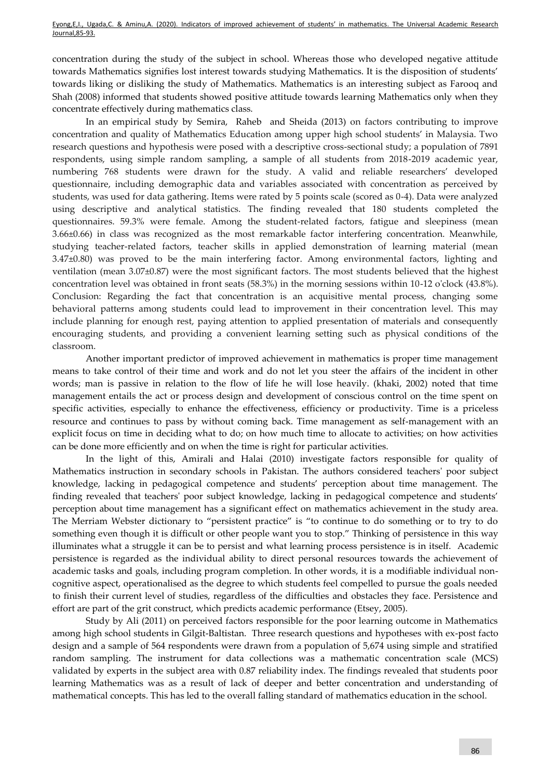concentration during the study of the subject in school. Whereas those who developed negative attitude towards Mathematics signifies lost interest towards studying Mathematics. It is the disposition of students' towards liking or disliking the study of Mathematics. Mathematics is an interesting subject as Farooq and Shah (2008) informed that students showed positive attitude towards learning Mathematics only when they concentrate effectively during mathematics class.

In an empirical study by [Semira,](https://www.researchgate.net/profile/Semira_Mehralizadeh) [Raheb](https://www.researchgate.net/profile/Raheb_Ghorbani) and Sheida (2013) on factors contributing to improve concentration and quality of Mathematics Education among upper high school students' in Malaysia. Two research questions and hypothesis were posed with a descriptive cross-sectional study; a population of 7891 respondents, using simple random sampling, a sample of all students from 2018-2019 academic year, numbering 768 students were drawn for the study. A valid and reliable researchers' developed questionnaire, including demographic data and variables associated with concentration as perceived by students, was used for data gathering. Items were rated by 5 points scale (scored as 0-4). Data were analyzed using descriptive and analytical statistics. The finding revealed that 180 students completed the questionnaires. 59.3% were female. Among the student-related factors, fatigue and sleepiness (mean 3.66±0.66) in class was recognized as the most remarkable factor interfering concentration. Meanwhile, studying teacher-related factors, teacher skills in applied demonstration of learning material (mean 3.47±0.80) was proved to be the main interfering factor. Among environmental factors, lighting and ventilation (mean 3.07±0.87) were the most significant factors. The most students believed that the highest concentration level was obtained in front seats (58.3%) in the morning sessions within 10-12 o'clock (43.8%). Conclusion: Regarding the fact that concentration is an acquisitive mental process, changing some behavioral patterns among students could lead to improvement in their concentration level. This may include planning for enough rest, paying attention to applied presentation of materials and consequently encouraging students, and providing a convenient learning setting such as physical conditions of the classroom.

Another important predictor of improved achievement in mathematics is proper time management means to take control of their time and work and do not let you steer the affairs of the incident in other words; man is passive in relation to the flow of life he will lose heavily. (khaki, 2002) noted that time management entails the act or process design and development of conscious control on the time spent on specific activities, especially to enhance the effectiveness, efficiency or productivity. Time is a priceless resource and continues to pass by without coming back. Time management as self-management with an explicit focus on time in deciding what to do; on how much time to allocate to activities; on how activities can be done more efficiently and on when the time is right for particular activities.

In the light of this, Amirali and Halai (2010) investigate factors responsible for quality of Mathematics instruction in secondary schools in Pakistan. The authors considered teachers' poor subject knowledge, lacking in pedagogical competence and students' perception about time management. The finding revealed that teachers' poor subject knowledge, lacking in pedagogical competence and students' perception about time management has a significant effect on mathematics achievement in the study area. The Merriam Webster dictionary to "persistent practice" is "to continue to do something or to try to do something even though it is difficult or other people want you to stop." Thinking of persistence in this way illuminates what a struggle it can be to persist and what learning process persistence is in itself. Academic persistence is regarded as the individual ability to direct personal resources towards the achievement of academic tasks and goals, including program completion. In other words, it is a modifiable individual noncognitive aspect, operationalised as the degree to which students feel compelled to pursue the goals needed to finish their current level of studies, regardless of the difficulties and obstacles they face. Persistence and effort are part of the grit construct, which predicts academic performance (Etsey, 2005).

Study by Ali (2011) on perceived factors responsible for the poor learning outcome in Mathematics among high school students in Gilgit-Baltistan. Three research questions and hypotheses with ex-post facto design and a sample of 564 respondents were drawn from a population of 5,674 using simple and stratified random sampling. The instrument for data collections was a mathematic concentration scale (MCS) validated by experts in the subject area with 0.87 reliability index. The findings revealed that students poor learning Mathematics was as a result of lack of deeper and better concentration and understanding of mathematical concepts. This has led to the overall falling standard of mathematics education in the school.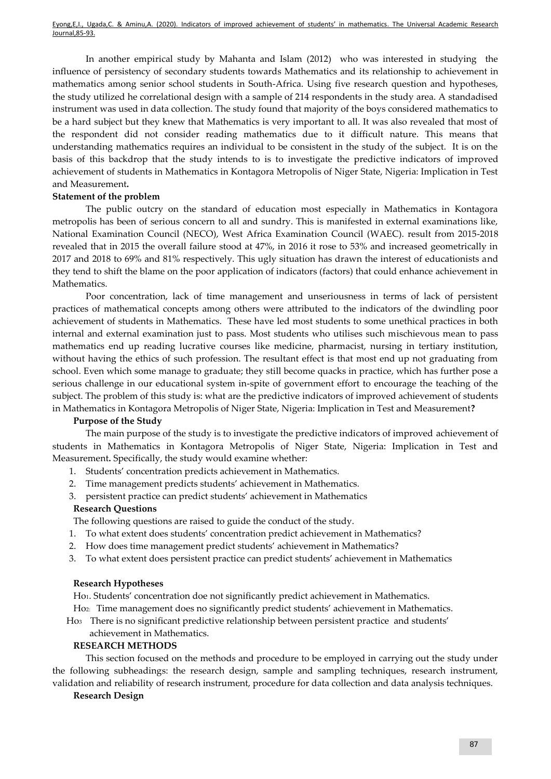In another empirical study by Mahanta and Islam (2012) who was interested in studying the influence of persistency of secondary students towards Mathematics and its relationship to achievement in mathematics among senior school students in South-Africa. Using five research question and hypotheses, the study utilized he correlational design with a sample of 214 respondents in the study area. A standadised instrument was used in data collection. The study found that majority of the boys considered mathematics to be a hard subject but they knew that Mathematics is very important to all. It was also revealed that most of the respondent did not consider reading mathematics due to it difficult nature. This means that understanding mathematics requires an individual to be consistent in the study of the subject. It is on the basis of this backdrop that the study intends to is to investigate the predictive indicators of improved achievement of students in Mathematics in Kontagora Metropolis of Niger State, Nigeria: Implication in Test and Measurement**.**

## **Statement of the problem**

The public outcry on the standard of education most especially in Mathematics in Kontagora metropolis has been of serious concern to all and sundry. This is manifested in external examinations like, National Examination Council (NECO), West Africa Examination Council (WAEC). result from 2015-2018 revealed that in 2015 the overall failure stood at 47%, in 2016 it rose to 53% and increased geometrically in 2017 and 2018 to 69% and 81% respectively. This ugly situation has drawn the interest of educationists and they tend to shift the blame on the poor application of indicators (factors) that could enhance achievement in Mathematics.

Poor concentration, lack of time management and unseriousness in terms of lack of persistent practices of mathematical concepts among others were attributed to the indicators of the dwindling poor achievement of students in Mathematics. These have led most students to some unethical practices in both internal and external examination just to pass. Most students who utilises such mischievous mean to pass mathematics end up reading lucrative courses like medicine, pharmacist, nursing in tertiary institution, without having the ethics of such profession. The resultant effect is that most end up not graduating from school. Even which some manage to graduate; they still become quacks in practice, which has further pose a serious challenge in our educational system in-spite of government effort to encourage the teaching of the subject. The problem of this study is: what are the predictive indicators of improved achievement of students in Mathematics in Kontagora Metropolis of Niger State, Nigeria: Implication in Test and Measurement**?**

## **Purpose of the Study**

The main purpose of the study is to investigate the predictive indicators of improved achievement of students in Mathematics in Kontagora Metropolis of Niger State, Nigeria: Implication in Test and Measurement**.** Specifically, the study would examine whether:

- 1. Students' concentration predicts achievement in Mathematics.
- 2. Time management predicts students' achievement in Mathematics.
- 3. persistent practice can predict students' achievement in Mathematics

## **Research Questions**

The following questions are raised to guide the conduct of the study.

- 1. To what extent does students' concentration predict achievement in Mathematics?
- 2. How does time management predict students' achievement in Mathematics?
- 3. To what extent does persistent practice can predict students' achievement in Mathematics

## **Research Hypotheses**

Ho1. Students' concentration doe not significantly predict achievement in Mathematics.

Ho2: Time management does no significantly predict students' achievement in Mathematics.

 Ho3 There is no significant predictive relationship between persistent practice and students' achievement in Mathematics.

## **RESEARCH METHODS**

This section focused on the methods and procedure to be employed in carrying out the study under the following subheadings: the research design, sample and sampling techniques, research instrument, validation and reliability of research instrument, procedure for data collection and data analysis techniques.

## **Research Design**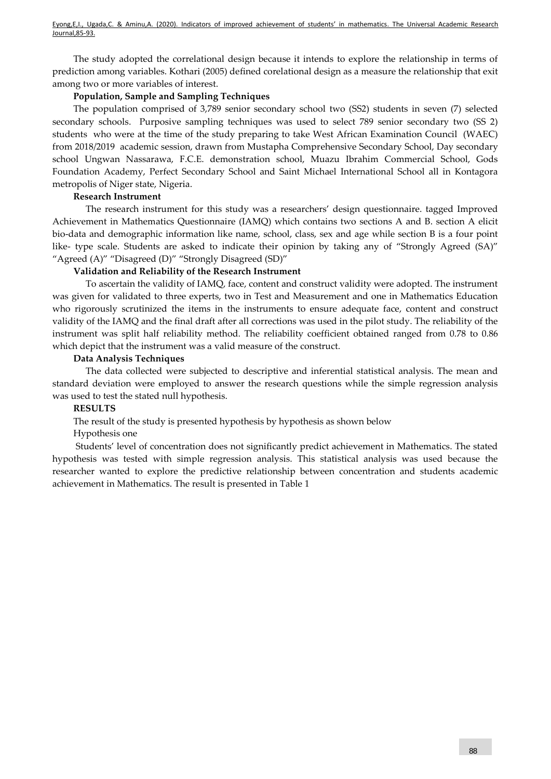The study adopted the correlational design because it intends to explore the relationship in terms of prediction among variables. Kothari (2005) defined corelational design as a measure the relationship that exit among two or more variables of interest.

## **Population, Sample and Sampling Techniques**

The population comprised of 3,789 senior secondary school two (SS2) students in seven (7) selected secondary schools. Purposive sampling techniques was used to select 789 senior secondary two (SS 2) students who were at the time of the study preparing to take West African Examination Council (WAEC) from 2018/2019 academic session, drawn from Mustapha Comprehensive Secondary School, Day secondary school Ungwan Nassarawa, F.C.E. demonstration school, Muazu Ibrahim Commercial School, Gods Foundation Academy, Perfect Secondary School and Saint Michael International School all in Kontagora metropolis of Niger state, Nigeria.

## **Research Instrument**

The research instrument for this study was a researchers' design questionnaire. tagged Improved Achievement in Mathematics Questionnaire (IAMQ) which contains two sections A and B. section A elicit bio-data and demographic information like name, school, class, sex and age while section B is a four point like- type scale. Students are asked to indicate their opinion by taking any of "Strongly Agreed (SA)" "Agreed (A)" "Disagreed (D)" "Strongly Disagreed (SD)"

## **Validation and Reliability of the Research Instrument**

To ascertain the validity of IAMQ, face, content and construct validity were adopted. The instrument was given for validated to three experts, two in Test and Measurement and one in Mathematics Education who rigorously scrutinized the items in the instruments to ensure adequate face, content and construct validity of the IAMQ and the final draft after all corrections was used in the pilot study. The reliability of the instrument was split half reliability method. The reliability coefficient obtained ranged from 0.78 to 0.86 which depict that the instrument was a valid measure of the construct.

## **Data Analysis Techniques**

The data collected were subjected to descriptive and inferential statistical analysis. The mean and standard deviation were employed to answer the research questions while the simple regression analysis was used to test the stated null hypothesis.

## **RESULTS**

The result of the study is presented hypothesis by hypothesis as shown below

## Hypothesis one

Students' level of concentration does not significantly predict achievement in Mathematics. The stated hypothesis was tested with simple regression analysis. This statistical analysis was used because the researcher wanted to explore the predictive relationship between concentration and students academic achievement in Mathematics. The result is presented in Table 1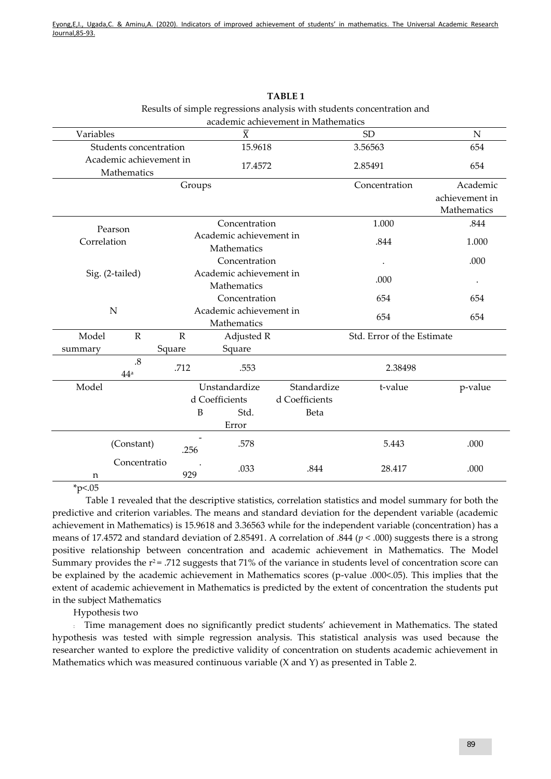| academic achievement in Mathematics |                                        |              |               |                                        |                |                            |                                           |
|-------------------------------------|----------------------------------------|--------------|---------------|----------------------------------------|----------------|----------------------------|-------------------------------------------|
| Variables                           |                                        |              |               | $\overline{X}$                         |                | <b>SD</b>                  | $\mathbf N$                               |
| Students concentration              |                                        |              |               | 15.9618                                |                | 3.56563                    | 654                                       |
|                                     | Academic achievement in<br>Mathematics |              |               |                                        | 17.4572        | 2.85491                    | 654                                       |
|                                     |                                        |              | Groups        |                                        |                | Concentration              | Academic<br>achievement in<br>Mathematics |
| Pearson<br>Correlation              |                                        |              | Concentration |                                        |                | 1.000                      | .844                                      |
|                                     |                                        |              |               | Academic achievement in<br>Mathematics |                | .844                       | 1.000                                     |
|                                     |                                        |              | Concentration |                                        |                |                            | .000                                      |
| Sig. (2-tailed)                     |                                        |              |               | Academic achievement in<br>Mathematics |                | .000                       |                                           |
|                                     |                                        |              |               | Concentration                          |                | 654                        | 654                                       |
| N                                   |                                        |              |               | Academic achievement in<br>Mathematics |                | 654                        | 654                                       |
| Model                               | ${\bf R}$                              | $\mathbb{R}$ |               | Adjusted R                             |                | Std. Error of the Estimate |                                           |
| summary                             |                                        | Square       |               | Square                                 |                |                            |                                           |
|                                     | .8<br>44 <sup>a</sup>                  | .712         |               | .553                                   |                | 2.38498                    |                                           |
| Model                               |                                        |              |               | Unstandardize                          | Standardize    | t-value                    | p-value                                   |
|                                     |                                        |              |               | d Coefficients                         | d Coefficients |                            |                                           |
|                                     |                                        |              | B             | Std.                                   | Beta           |                            |                                           |
|                                     |                                        |              |               | Error                                  |                |                            |                                           |
|                                     | (Constant)                             |              | .256          | .578                                   |                | 5.443                      | .000                                      |
| Concentratio<br>n                   |                                        |              | 929           | .033                                   | .844           | 28.417                     | .000                                      |

**TABLE 1** Results of simple regressions analysis with students concentration and

 $*<sub>p</sub><0.05$ 

Table 1 revealed that the descriptive statistics, correlation statistics and model summary for both the predictive and criterion variables. The means and standard deviation for the dependent variable (academic achievement in Mathematics) is 15.9618 and 3.36563 while for the independent variable (concentration) has a means of 17.4572 and standard deviation of 2.85491. A correlation of .844 (*p* < .000) suggests there is a strong positive relationship between concentration and academic achievement in Mathematics. The Model Summary provides the  $r^2$  = .712 suggests that 71% of the variance in students level of concentration score can be explained by the academic achievement in Mathematics scores (p-value .000<.05). This implies that the extent of academic achievement in Mathematics is predicted by the extent of concentration the students put in the subject Mathematics

Hypothesis two

: Time management does no significantly predict students' achievement in Mathematics. The stated hypothesis was tested with simple regression analysis. This statistical analysis was used because the researcher wanted to explore the predictive validity of concentration on students academic achievement in Mathematics which was measured continuous variable (X and Y) as presented in Table 2.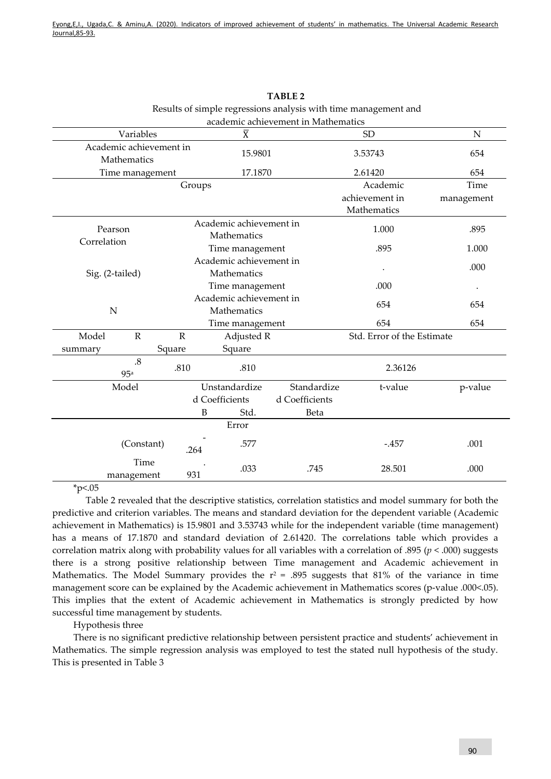|                        |                                        |              |                                        | academic achievement in Mathematics |                               |                      |
|------------------------|----------------------------------------|--------------|----------------------------------------|-------------------------------------|-------------------------------|----------------------|
|                        | Variables                              |              | $\overline{\text{X}}$                  |                                     | <b>SD</b>                     | ${\bf N}$            |
|                        | Academic achievement in<br>Mathematics |              | 15.9801                                |                                     | 3.53743                       | 654                  |
|                        | Time management                        |              | 17.1870                                |                                     | 2.61420                       | 654                  |
|                        |                                        | Groups       |                                        |                                     | Academic                      | Time                 |
|                        |                                        |              |                                        |                                     | achievement in<br>Mathematics | management           |
| Pearson<br>Correlation |                                        |              | Academic achievement in<br>Mathematics |                                     | 1.000                         | .895                 |
|                        |                                        |              | Time management                        |                                     | .895                          | 1.000                |
| Sig. (2-tailed)        |                                        |              | Academic achievement in<br>Mathematics |                                     |                               | .000                 |
|                        |                                        |              | Time management                        |                                     | .000                          | $\ddot{\phantom{0}}$ |
| N                      |                                        |              | Academic achievement in<br>Mathematics |                                     | 654                           | 654                  |
|                        |                                        |              | Time management                        |                                     | 654                           | 654                  |
| Model                  | ${\bf R}$                              | $\mathbb{R}$ | Adjusted R                             |                                     | Std. Error of the Estimate    |                      |
| summary                |                                        | Square       | Square                                 |                                     |                               |                      |
| $.8\,$<br>95a          |                                        | .810         | .810                                   |                                     | 2.36126                       |                      |
| Model                  |                                        |              | Unstandardize                          | Standardize                         | t-value                       | p-value              |
|                        |                                        |              | d Coefficients                         | d Coefficients                      |                               |                      |
|                        |                                        | B            | Std.                                   | Beta                                |                               |                      |
|                        |                                        |              | Error                                  |                                     |                               |                      |
| (Constant)             |                                        | .264         | .577                                   |                                     | $-.457$                       | .001                 |
| Time<br>management     |                                        | 931          | .033                                   | .745                                | 28.501                        | .000                 |

**TABLE 2** Results of simple regressions analysis with time management and

 $*<sub>p</sub><0.05$ 

Table 2 revealed that the descriptive statistics, correlation statistics and model summary for both the predictive and criterion variables. The means and standard deviation for the dependent variable (Academic achievement in Mathematics) is 15.9801 and 3.53743 while for the independent variable (time management) has a means of 17.1870 and standard deviation of 2.61420. The correlations table which provides a correlation matrix along with probability values for all variables with a correlation of .895 (*p* < .000) suggests there is a strong positive relationship between Time management and Academic achievement in Mathematics. The Model Summary provides the  $r^2$  = .895 suggests that 81% of the variance in time management score can be explained by the Academic achievement in Mathematics scores (p-value .000<.05). This implies that the extent of Academic achievement in Mathematics is strongly predicted by how successful time management by students.

Hypothesis three

There is no significant predictive relationship between persistent practice and students' achievement in Mathematics. The simple regression analysis was employed to test the stated null hypothesis of the study. This is presented in Table 3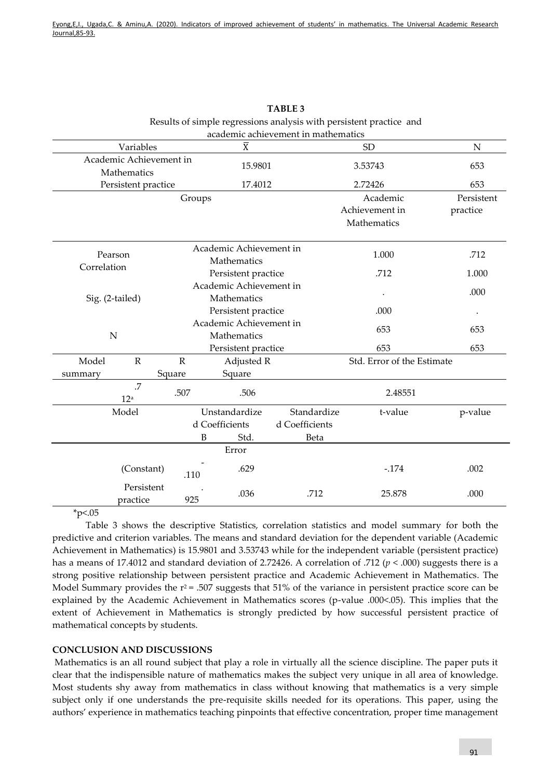| academic achievement in mathematics    |                     |           |                                        |                |                            |             |  |
|----------------------------------------|---------------------|-----------|----------------------------------------|----------------|----------------------------|-------------|--|
| Variables                              |                     |           | $\overline{X}$                         |                | SD                         | $\mathbf N$ |  |
| Academic Achievement in<br>Mathematics |                     |           | 15.9801                                |                | 3.53743                    | 653         |  |
|                                        | Persistent practice |           |                                        | 17.4012        | 2.72426                    | 653         |  |
|                                        |                     | Groups    |                                        |                | Academic                   | Persistent  |  |
|                                        |                     |           |                                        |                | Achievement in             | practice    |  |
|                                        |                     |           |                                        |                | Mathematics                |             |  |
| Pearson<br>Correlation                 |                     |           | Academic Achievement in<br>Mathematics |                | 1.000                      | .712        |  |
|                                        |                     |           | Persistent practice                    |                | .712                       | 1.000       |  |
| Sig. (2-tailed)                        |                     |           | Academic Achievement in                |                |                            | .000        |  |
|                                        |                     |           | Mathematics                            |                |                            |             |  |
|                                        |                     |           | Persistent practice                    |                | .000                       |             |  |
|                                        |                     |           | Academic Achievement in                |                | 653                        | 653         |  |
|                                        | $\mathbf N$         |           | Mathematics                            |                |                            |             |  |
|                                        |                     |           | Persistent practice                    |                | 653<br>653                 |             |  |
| Model                                  | $\mathbb{R}$        | ${\bf R}$ | Adjusted R                             |                | Std. Error of the Estimate |             |  |
| summary                                | .7                  | Square    | Square                                 |                |                            |             |  |
|                                        | 12 <sup>a</sup>     | .507      | .506                                   |                | 2.48551                    |             |  |
| Model                                  |                     |           | Unstandardize                          | Standardize    | t-value                    | p-value     |  |
|                                        |                     |           | d Coefficients                         | d Coefficients |                            |             |  |
|                                        |                     | B         | Std.                                   | Beta           |                            |             |  |
|                                        |                     |           | Error                                  |                |                            |             |  |
| (Constant)                             |                     | .110      | .629                                   |                | $-.174$                    | .002        |  |
| Persistent<br>practice                 |                     | 925       | .036                                   | .712           | 25.878                     | .000        |  |

**TABLE 3** Results of simple regressions analysis with persistent practice and

 $*_{p<.05}$ 

Table 3 shows the descriptive Statistics, correlation statistics and model summary for both the predictive and criterion variables. The means and standard deviation for the dependent variable (Academic Achievement in Mathematics) is 15.9801 and 3.53743 while for the independent variable (persistent practice) has a means of 17.4012 and standard deviation of 2.72426. A correlation of .712 (*p* < .000) suggests there is a strong positive relationship between persistent practice and Academic Achievement in Mathematics. The Model Summary provides the  $r^2$  = .507 suggests that 51% of the variance in persistent practice score can be explained by the Academic Achievement in Mathematics scores (p-value .000<.05). This implies that the extent of Achievement in Mathematics is strongly predicted by how successful persistent practice of mathematical concepts by students.

## **CONCLUSION AND DISCUSSIONS**

Mathematics is an all round subject that play a role in virtually all the science discipline. The paper puts it clear that the indispensible nature of mathematics makes the subject very unique in all area of knowledge. Most students shy away from mathematics in class without knowing that mathematics is a very simple subject only if one understands the pre-requisite skills needed for its operations. This paper, using the authors' experience in mathematics teaching pinpoints that effective concentration, proper time management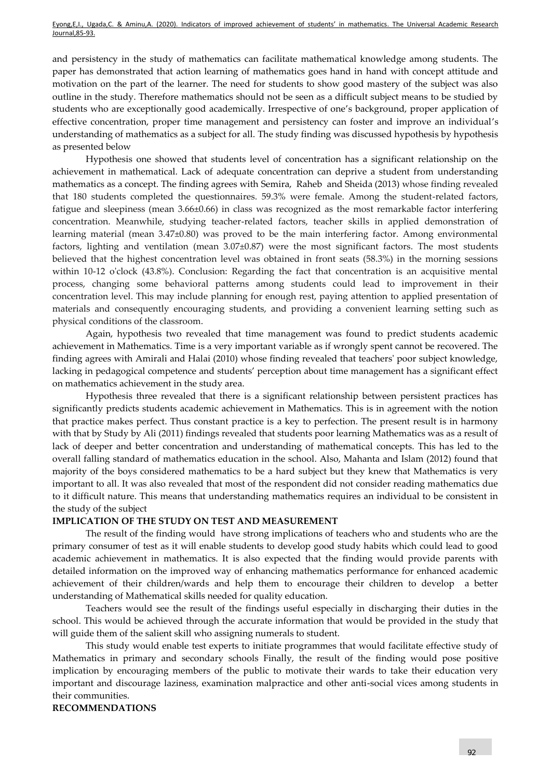and persistency in the study of mathematics can facilitate mathematical knowledge among students. The paper has demonstrated that action learning of mathematics goes hand in hand with concept attitude and motivation on the part of the learner. The need for students to show good mastery of the subject was also outline in the study. Therefore mathematics should not be seen as a difficult subject means to be studied by students who are exceptionally good academically. Irrespective of one's background, proper application of effective concentration, proper time management and persistency can foster and improve an individual's understanding of mathematics as a subject for all. The study finding was discussed hypothesis by hypothesis as presented below

Hypothesis one showed that students level of concentration has a significant relationship on the achievement in mathematical. Lack of adequate concentration can deprive a student from understanding mathematics as a concept. The finding agrees with [Semira,](https://www.researchgate.net/profile/Semira_Mehralizadeh) [Raheb](https://www.researchgate.net/profile/Raheb_Ghorbani) and Sheida (2013) whose finding revealed that 180 students completed the questionnaires. 59.3% were female. Among the student-related factors, fatigue and sleepiness (mean 3.66±0.66) in class was recognized as the most remarkable factor interfering concentration. Meanwhile, studying teacher-related factors, teacher skills in applied demonstration of learning material (mean 3.47±0.80) was proved to be the main interfering factor. Among environmental factors, lighting and ventilation (mean 3.07±0.87) were the most significant factors. The most students believed that the highest concentration level was obtained in front seats (58.3%) in the morning sessions within 10-12 o'clock (43.8%). Conclusion: Regarding the fact that concentration is an acquisitive mental process, changing some behavioral patterns among students could lead to improvement in their concentration level. This may include planning for enough rest, paying attention to applied presentation of materials and consequently encouraging students, and providing a convenient learning setting such as physical conditions of the classroom.

Again, hypothesis two revealed that time management was found to predict students academic achievement in Mathematics. Time is a very important variable as if wrongly spent cannot be recovered. The finding agrees with Amirali and Halai (2010) whose finding revealed that teachers' poor subject knowledge, lacking in pedagogical competence and students' perception about time management has a significant effect on mathematics achievement in the study area.

Hypothesis three revealed that there is a significant relationship between persistent practices has significantly predicts students academic achievement in Mathematics. This is in agreement with the notion that practice makes perfect. Thus constant practice is a key to perfection. The present result is in harmony with that by Study by Ali (2011) findings revealed that students poor learning Mathematics was as a result of lack of deeper and better concentration and understanding of mathematical concepts. This has led to the overall falling standard of mathematics education in the school. Also, Mahanta and Islam (2012) found that majority of the boys considered mathematics to be a hard subject but they knew that Mathematics is very important to all. It was also revealed that most of the respondent did not consider reading mathematics due to it difficult nature. This means that understanding mathematics requires an individual to be consistent in the study of the subject

## **IMPLICATION OF THE STUDY ON TEST AND MEASUREMENT**

The result of the finding would have strong implications of teachers who and students who are the primary consumer of test as it will enable students to develop good study habits which could lead to good academic achievement in mathematics. It is also expected that the finding would provide parents with detailed information on the improved way of enhancing mathematics performance for enhanced academic achievement of their children/wards and help them to encourage their children to develop a better understanding of Mathematical skills needed for quality education.

Teachers would see the result of the findings useful especially in discharging their duties in the school. This would be achieved through the accurate information that would be provided in the study that will guide them of the salient skill who assigning numerals to student.

This study would enable test experts to initiate programmes that would facilitate effective study of Mathematics in primary and secondary schools Finally, the result of the finding would pose positive implication by encouraging members of the public to motivate their wards to take their education very important and discourage laziness, examination malpractice and other anti-social vices among students in their communities.

#### **RECOMMENDATIONS**